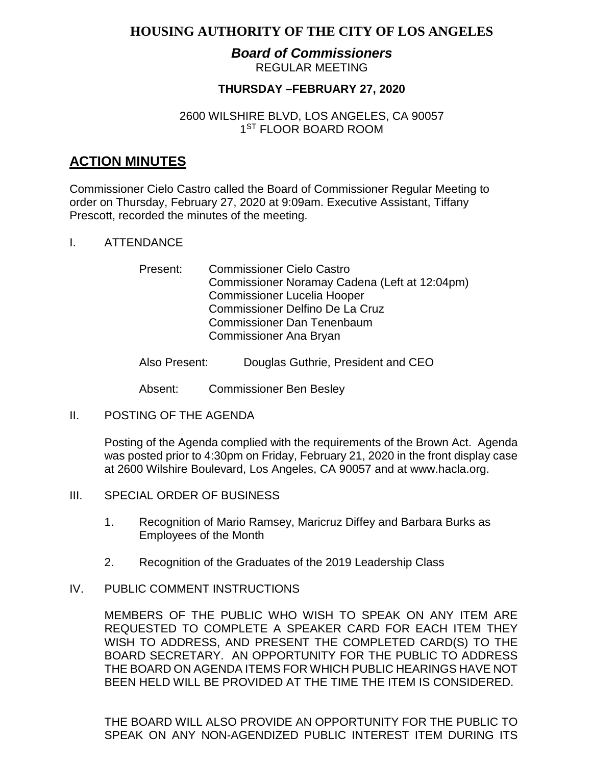# **HOUSING AUTHORITY OF THE CITY OF LOS ANGELES**

#### *Board of Commissioners* REGULAR MEETING

# **THURSDAY –FEBRUARY 27, 2020**

# 2600 WILSHIRE BLVD, LOS ANGELES, CA 90057 1<sup>ST</sup> FLOOR BOARD ROOM

# **ACTION MINUTES**

Commissioner Cielo Castro called the Board of Commissioner Regular Meeting to order on Thursday, February 27, 2020 at 9:09am. Executive Assistant, Tiffany Prescott, recorded the minutes of the meeting.

#### I. ATTENDANCE

- Present: Commissioner Cielo Castro Commissioner Noramay Cadena (Left at 12:04pm) Commissioner Lucelia Hooper Commissioner Delfino De La Cruz Commissioner Dan Tenenbaum Commissioner Ana Bryan
- Also Present: Douglas Guthrie, President and CEO

Absent: Commissioner Ben Besley

II. POSTING OF THE AGENDA

Posting of the Agenda complied with the requirements of the Brown Act. Agenda was posted prior to 4:30pm on Friday, February 21, 2020 in the front display case at 2600 Wilshire Boulevard, Los Angeles, CA 90057 and at [www.hacla.org.](http://www.hacla.org/)

- III. SPECIAL ORDER OF BUSINESS
	- 1. Recognition of Mario Ramsey, Maricruz Diffey and Barbara Burks as Employees of the Month
	- 2. Recognition of the Graduates of the 2019 Leadership Class
- IV. PUBLIC COMMENT INSTRUCTIONS

MEMBERS OF THE PUBLIC WHO WISH TO SPEAK ON ANY ITEM ARE REQUESTED TO COMPLETE A SPEAKER CARD FOR EACH ITEM THEY WISH TO ADDRESS, AND PRESENT THE COMPLETED CARD(S) TO THE BOARD SECRETARY. AN OPPORTUNITY FOR THE PUBLIC TO ADDRESS THE BOARD ON AGENDA ITEMS FOR WHICH PUBLIC HEARINGS HAVE NOT BEEN HELD WILL BE PROVIDED AT THE TIME THE ITEM IS CONSIDERED.

THE BOARD WILL ALSO PROVIDE AN OPPORTUNITY FOR THE PUBLIC TO SPEAK ON ANY NON-AGENDIZED PUBLIC INTEREST ITEM DURING ITS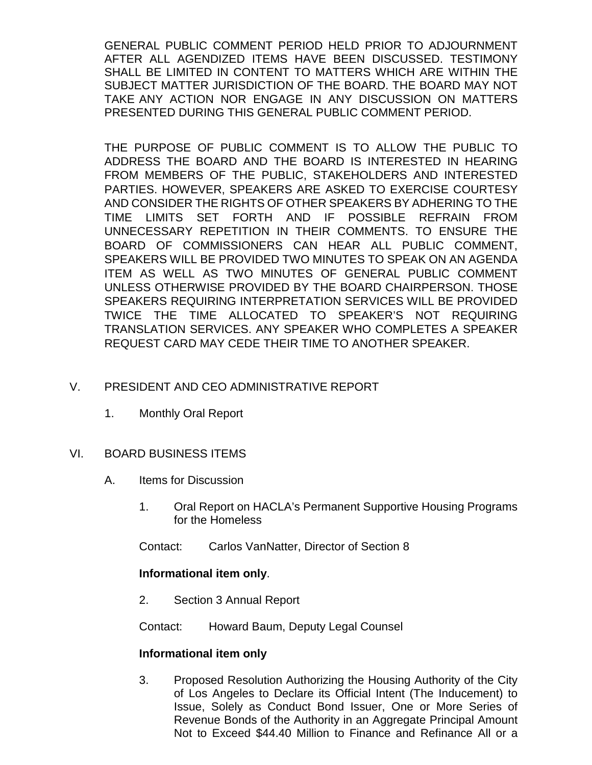GENERAL PUBLIC COMMENT PERIOD HELD PRIOR TO ADJOURNMENT AFTER ALL AGENDIZED ITEMS HAVE BEEN DISCUSSED. TESTIMONY SHALL BE LIMITED IN CONTENT TO MATTERS WHICH ARE WITHIN THE SUBJECT MATTER JURISDICTION OF THE BOARD. THE BOARD MAY NOT TAKE ANY ACTION NOR ENGAGE IN ANY DISCUSSION ON MATTERS PRESENTED DURING THIS GENERAL PUBLIC COMMENT PERIOD.

THE PURPOSE OF PUBLIC COMMENT IS TO ALLOW THE PUBLIC TO ADDRESS THE BOARD AND THE BOARD IS INTERESTED IN HEARING FROM MEMBERS OF THE PUBLIC, STAKEHOLDERS AND INTERESTED PARTIES. HOWEVER, SPEAKERS ARE ASKED TO EXERCISE COURTESY AND CONSIDER THE RIGHTS OF OTHER SPEAKERS BY ADHERING TO THE TIME LIMITS SET FORTH AND IF POSSIBLE REFRAIN FROM UNNECESSARY REPETITION IN THEIR COMMENTS. TO ENSURE THE BOARD OF COMMISSIONERS CAN HEAR ALL PUBLIC COMMENT, SPEAKERS WILL BE PROVIDED TWO MINUTES TO SPEAK ON AN AGENDA ITEM AS WELL AS TWO MINUTES OF GENERAL PUBLIC COMMENT UNLESS OTHERWISE PROVIDED BY THE BOARD CHAIRPERSON. THOSE SPEAKERS REQUIRING INTERPRETATION SERVICES WILL BE PROVIDED TWICE THE TIME ALLOCATED TO SPEAKER'S NOT REQUIRING TRANSLATION SERVICES. ANY SPEAKER WHO COMPLETES A SPEAKER REQUEST CARD MAY CEDE THEIR TIME TO ANOTHER SPEAKER.

# V. PRESIDENT AND CEO ADMINISTRATIVE REPORT

1. Monthly Oral Report

# VI. BOARD BUSINESS ITEMS

- A. Items for Discussion
	- 1. Oral Report on HACLA's Permanent Supportive Housing Programs for the Homeless
	- Contact: Carlos VanNatter, Director of Section 8

# **Informational item only**.

2. Section 3 Annual Report

Contact: Howard Baum, Deputy Legal Counsel

#### **Informational item only**

3. Proposed Resolution Authorizing the Housing Authority of the City of Los Angeles to Declare its Official Intent (The Inducement) to Issue, Solely as Conduct Bond Issuer, One or More Series of Revenue Bonds of the Authority in an Aggregate Principal Amount Not to Exceed \$44.40 Million to Finance and Refinance All or a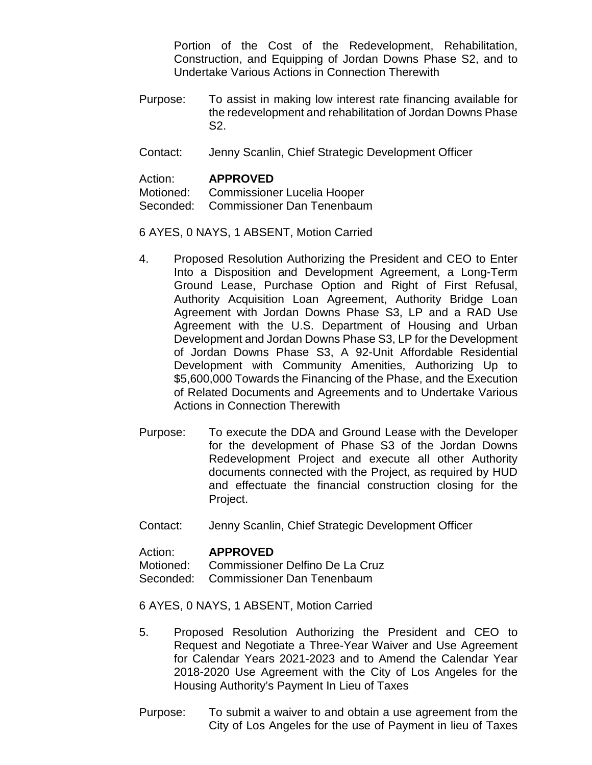Portion of the Cost of the Redevelopment, Rehabilitation, Construction, and Equipping of Jordan Downs Phase S2, and to Undertake Various Actions in Connection Therewith

- Purpose: To assist in making low interest rate financing available for the redevelopment and rehabilitation of Jordan Downs Phase S2.
- Contact: Jenny Scanlin, Chief Strategic Development Officer

| Action: | <b>APPROVED</b>                       |
|---------|---------------------------------------|
|         | Motioned: Commissioner Lucelia Hooper |
|         | Seconded: Commissioner Dan Tenenbaum  |

6 AYES, 0 NAYS, 1 ABSENT, Motion Carried

- 4. Proposed Resolution Authorizing the President and CEO to Enter Into a Disposition and Development Agreement, a Long-Term Ground Lease, Purchase Option and Right of First Refusal, Authority Acquisition Loan Agreement, Authority Bridge Loan Agreement with Jordan Downs Phase S3, LP and a RAD Use Agreement with the U.S. Department of Housing and Urban Development and Jordan Downs Phase S3, LP for the Development of Jordan Downs Phase S3, A 92-Unit Affordable Residential Development with Community Amenities, Authorizing Up to \$5,600,000 Towards the Financing of the Phase, and the Execution of Related Documents and Agreements and to Undertake Various Actions in Connection Therewith
- Purpose: To execute the DDA and Ground Lease with the Developer for the development of Phase S3 of the Jordan Downs Redevelopment Project and execute all other Authority documents connected with the Project, as required by HUD and effectuate the financial construction closing for the Project.
- Contact: Jenny Scanlin, Chief Strategic Development Officer

# Action: **APPROVED**<br>Motioned: Commissione

Commissioner Delfino De La Cruz Seconded: Commissioner Dan Tenenbaum

6 AYES, 0 NAYS, 1 ABSENT, Motion Carried

- 5. Proposed Resolution Authorizing the President and CEO to Request and Negotiate a Three-Year Waiver and Use Agreement for Calendar Years 2021-2023 and to Amend the Calendar Year 2018-2020 Use Agreement with the City of Los Angeles for the Housing Authority's Payment In Lieu of Taxes
- Purpose: To submit a waiver to and obtain a use agreement from the City of Los Angeles for the use of Payment in lieu of Taxes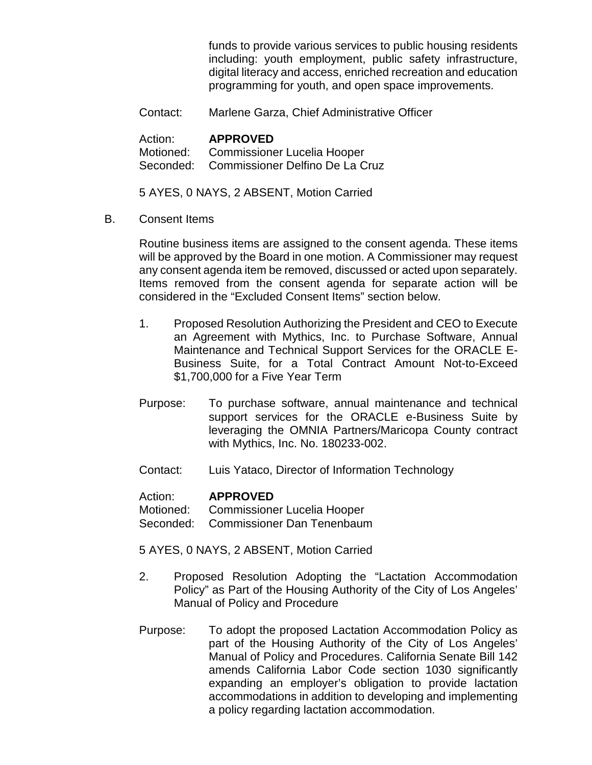funds to provide various services to public housing residents including: youth employment, public safety infrastructure, digital literacy and access, enriched recreation and education programming for youth, and open space improvements.

Contact: Marlene Garza, Chief Administrative Officer

# Action: **APPROVED**

Motioned: Commissioner Lucelia Hooper Seconded: Commissioner Delfino De La Cruz

5 AYES, 0 NAYS, 2 ABSENT, Motion Carried

B. Consent Items

Routine business items are assigned to the consent agenda. These items will be approved by the Board in one motion. A Commissioner may request any consent agenda item be removed, discussed or acted upon separately. Items removed from the consent agenda for separate action will be considered in the "Excluded Consent Items" section below.

- 1. Proposed Resolution Authorizing the President and CEO to Execute an Agreement with Mythics, Inc. to Purchase Software, Annual Maintenance and Technical Support Services for the ORACLE E-Business Suite, for a Total Contract Amount Not-to-Exceed \$1,700,000 for a Five Year Term
- Purpose: To purchase software, annual maintenance and technical support services for the ORACLE e-Business Suite by leveraging the OMNIA Partners/Maricopa County contract with Mythics, Inc. No. 180233-002.
- Contact: Luis Yataco, Director of Information Technology

#### Action: **APPROVED**

Motioned: Commissioner Lucelia Hooper

Seconded: Commissioner Dan Tenenbaum

5 AYES, 0 NAYS, 2 ABSENT, Motion Carried

- 2. Proposed Resolution Adopting the "Lactation Accommodation Policy" as Part of the Housing Authority of the City of Los Angeles' Manual of Policy and Procedure
- Purpose: To adopt the proposed Lactation Accommodation Policy as part of the Housing Authority of the City of Los Angeles' Manual of Policy and Procedures. California Senate Bill 142 amends California Labor Code section 1030 significantly expanding an employer's obligation to provide lactation accommodations in addition to developing and implementing a policy regarding lactation accommodation.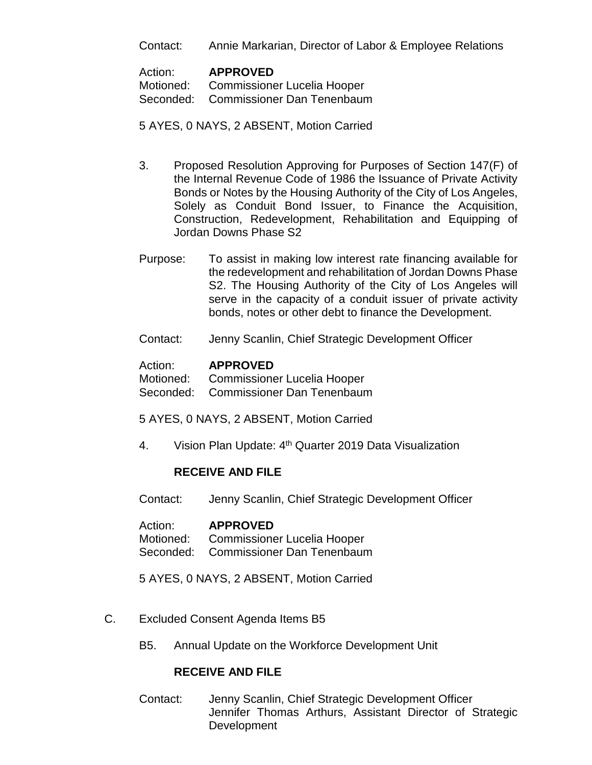Contact: Annie Markarian, Director of Labor & Employee Relations

Action: **APPROVED**<br>Motioned: Commissione Commissioner Lucelia Hooper Seconded: Commissioner Dan Tenenbaum

#### 5 AYES, 0 NAYS, 2 ABSENT, Motion Carried

- 3. Proposed Resolution Approving for Purposes of Section 147(F) of the Internal Revenue Code of 1986 the Issuance of Private Activity Bonds or Notes by the Housing Authority of the City of Los Angeles, Solely as Conduit Bond Issuer, to Finance the Acquisition, Construction, Redevelopment, Rehabilitation and Equipping of Jordan Downs Phase S2
- Purpose: To assist in making low interest rate financing available for the redevelopment and rehabilitation of Jordan Downs Phase S2. The Housing Authority of the City of Los Angeles will serve in the capacity of a conduit issuer of private activity bonds, notes or other debt to finance the Development.
- Contact: Jenny Scanlin, Chief Strategic Development Officer

#### Action: **APPROVED**

Motioned: Commissioner Lucelia Hooper<br>Seconded: Commissioner Dan Tenenbaur

Commissioner Dan Tenenbaum

5 AYES, 0 NAYS, 2 ABSENT, Motion Carried

4. Vision Plan Update: 4<sup>th</sup> Quarter 2019 Data Visualization

## **RECEIVE AND FILE**

Contact: Jenny Scanlin, Chief Strategic Development Officer

Action: **APPROVED** Motioned: Commissioner Lucelia Hooper Seconded: Commissioner Dan Tenenbaum

5 AYES, 0 NAYS, 2 ABSENT, Motion Carried

- C. Excluded Consent Agenda Items B5
	- B5. Annual Update on the Workforce Development Unit

## **RECEIVE AND FILE**

Contact: Jenny Scanlin, Chief Strategic Development Officer Jennifer Thomas Arthurs, Assistant Director of Strategic **Development**